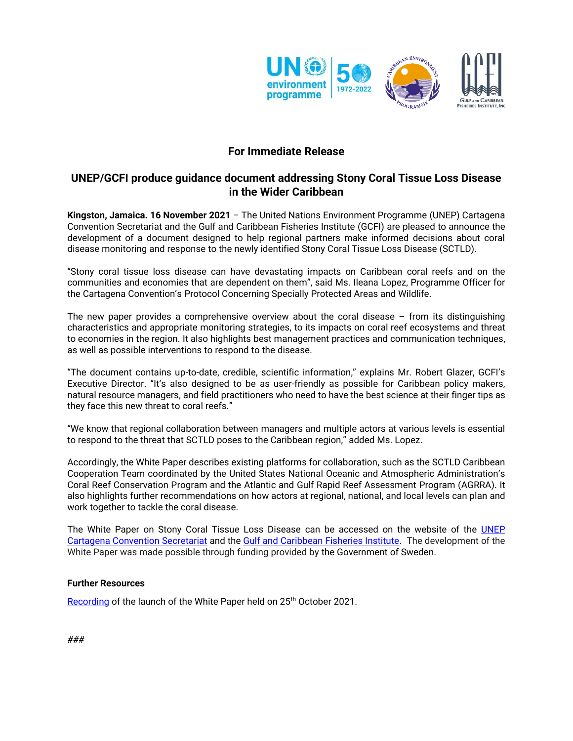

# **For Immediate Release**

## **UNEP/GCFI produce guidance document addressing Stony Coral Tissue Loss Disease in the Wider Caribbean**

**Kingston, Jamaica. 16 November 2021** – The United Nations Environment Programme (UNEP) Cartagena Convention Secretariat and the Gulf and Caribbean Fisheries Institute (GCFI) are pleased to announce the development of a document designed to help regional partners make informed decisions about coral disease monitoring and response to the newly identified Stony Coral Tissue Loss Disease (SCTLD).

"Stony coral tissue loss disease can have devastating impacts on Caribbean coral reefs and on the communities and economies that are dependent on them", said Ms. Ileana Lopez, Programme Officer for the Cartagena Convention's Protocol Concerning Specially Protected Areas and Wildlife.

The new paper provides a comprehensive overview about the coral disease  $-$  from its distinguishing characteristics and appropriate monitoring strategies, to its impacts on coral reef ecosystems and threat to economies in the region. It also highlights best management practices and communication techniques, as well as possible interventions to respond to the disease.

"The document contains up-to-date, credible, scientific information," explains Mr. Robert Glazer, GCFI's Executive Director. "It's also designed to be as user-friendly as possible for Caribbean policy makers, natural resource managers, and field practitioners who need to have the best science at their finger tips as they face this new threat to coral reefs."

"We know that regional collaboration between managers and multiple actors at various levels is essential to respond to the threat that SCTLD poses to the Caribbean region," added Ms. Lopez.

Accordingly, the White Paper describes existing platforms for collaboration, such as the SCTLD Caribbean Cooperation Team coordinated by the United States National Oceanic and Atmospheric Administration's Coral Reef Conservation Program and the Atlantic and Gulf Rapid Reef Assessment Program (AGRRA). It also highlights further recommendations on how actors at regional, national, and local levels can plan and work together to tackle the coral disease.

The White Paper on Stony Coral Tissue Loss Disease can be accessed on the website of the UNEP [Cartagena Convention Secretariat](https://www.unep.org/cep/resources/publication/white-paper-stony-coral-tissue-loss-disease) and the [Gulf and Caribbean Fisheries Institute.](https://www.gcfi.org/download/10/special-reports/9967/whitepaper-stcld-20072021-with-unep-logo.pdf) The development of the White Paper was made possible through funding provided by the Government of Sweden.

## **Further Resources**

[Recording](https://www.youtube.com/watch?v=Sjei-OKGxhI) of the launch of the White Paper held on 25<sup>th</sup> October 2021.

*###*